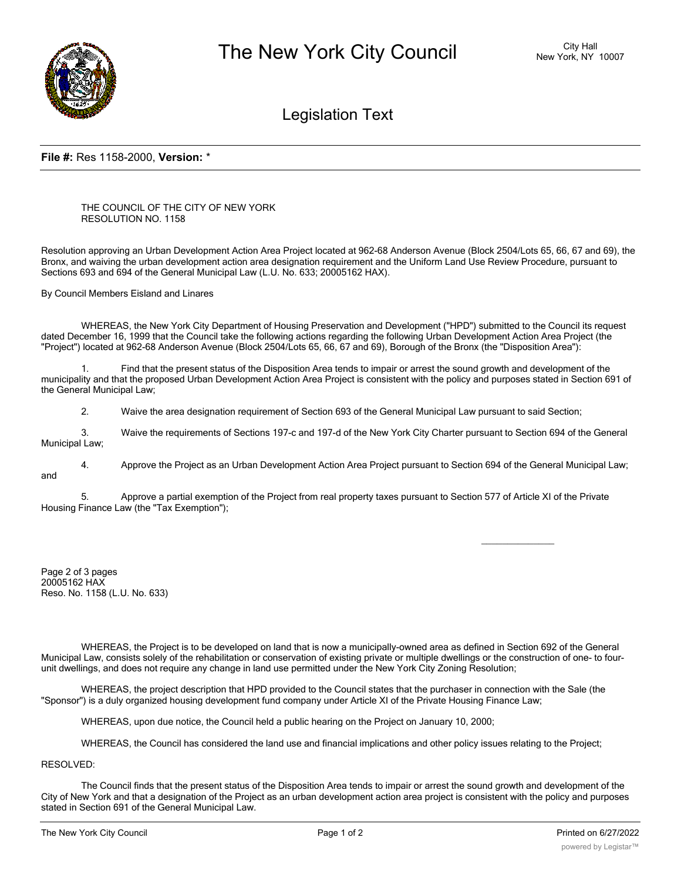

Legislation Text

## **File #:** Res 1158-2000, **Version:** \*

THE COUNCIL OF THE CITY OF NEW YORK RESOLUTION NO. 1158

Resolution approving an Urban Development Action Area Project located at 962-68 Anderson Avenue (Block 2504/Lots 65, 66, 67 and 69), the Bronx, and waiving the urban development action area designation requirement and the Uniform Land Use Review Procedure, pursuant to Sections 693 and 694 of the General Municipal Law (L.U. No. 633; 20005162 HAX).

By Council Members Eisland and Linares

WHEREAS, the New York City Department of Housing Preservation and Development ("HPD") submitted to the Council its request dated December 16, 1999 that the Council take the following actions regarding the following Urban Development Action Area Project (the "Project") located at 962-68 Anderson Avenue (Block 2504/Lots 65, 66, 67 and 69), Borough of the Bronx (the "Disposition Area"):

Find that the present status of the Disposition Area tends to impair or arrest the sound growth and development of the municipality and that the proposed Urban Development Action Area Project is consistent with the policy and purposes stated in Section 691 of the General Municipal Law;

2. Waive the area designation requirement of Section 693 of the General Municipal Law pursuant to said Section;

3. Waive the requirements of Sections 197-c and 197-d of the New York City Charter pursuant to Section 694 of the General Municipal Law;

4. Approve the Project as an Urban Development Action Area Project pursuant to Section 694 of the General Municipal Law; and

5. Approve a partial exemption of the Project from real property taxes pursuant to Section 577 of Article XI of the Private Housing Finance Law (the "Tax Exemption");

Page 2 of 3 pages 20005162 HAX Reso. No. 1158 (L.U. No. 633)

WHEREAS, the Project is to be developed on land that is now a municipally-owned area as defined in Section 692 of the General Municipal Law, consists solely of the rehabilitation or conservation of existing private or multiple dwellings or the construction of one- to fourunit dwellings, and does not require any change in land use permitted under the New York City Zoning Resolution;

WHEREAS, the project description that HPD provided to the Council states that the purchaser in connection with the Sale (the "Sponsor") is a duly organized housing development fund company under Article XI of the Private Housing Finance Law;

WHEREAS, upon due notice, the Council held a public hearing on the Project on January 10, 2000;

WHEREAS, the Council has considered the land use and financial implications and other policy issues relating to the Project;

RESOLVED:

The Council finds that the present status of the Disposition Area tends to impair or arrest the sound growth and development of the City of New York and that a designation of the Project as an urban development action area project is consistent with the policy and purposes stated in Section 691 of the General Municipal Law.

 $\overline{\phantom{a}}$